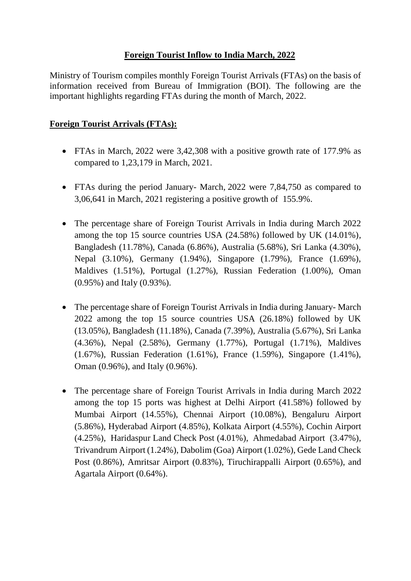## **Foreign Tourist Inflow to India March, 2022**

Ministry of Tourism compiles monthly Foreign Tourist Arrivals (FTAs) on the basis of information received from Bureau of Immigration (BOI). The following are the important highlights regarding FTAs during the month of March, 2022.

## **Foreign Tourist Arrivals (FTAs):**

- FTAs in March, 2022 were 3,42,308 with a positive growth rate of 177.9% as compared to 1,23,179 in March, 2021.
- FTAs during the period January- March, 2022 were 7,84,750 as compared to 3,06,641 in March, 2021 registering a positive growth of 155.9%.
- The percentage share of Foreign Tourist Arrivals in India during March 2022 among the top 15 source countries USA (24.58%) followed by UK (14.01%), Bangladesh (11.78%), Canada (6.86%), Australia (5.68%), Sri Lanka (4.30%), Nepal (3.10%), Germany (1.94%), Singapore (1.79%), France (1.69%), Maldives (1.51%), Portugal (1.27%), Russian Federation (1.00%), Oman (0.95%) and Italy (0.93%).
- The percentage share of Foreign Tourist Arrivals in India during January- March 2022 among the top 15 source countries USA (26.18%) followed by UK (13.05%), Bangladesh (11.18%), Canada (7.39%), Australia (5.67%), Sri Lanka (4.36%), Nepal (2.58%), Germany (1.77%), Portugal (1.71%), Maldives (1.67%), Russian Federation (1.61%), France (1.59%), Singapore (1.41%), Oman (0.96%), and Italy (0.96%).
- The percentage share of Foreign Tourist Arrivals in India during March 2022 among the top 15 ports was highest at Delhi Airport (41.58%) followed by Mumbai Airport (14.55%), Chennai Airport (10.08%), Bengaluru Airport (5.86%), Hyderabad Airport (4.85%), Kolkata Airport (4.55%), Cochin Airport (4.25%), Haridaspur Land Check Post (4.01%), Ahmedabad Airport (3.47%), Trivandrum Airport (1.24%), Dabolim (Goa) Airport (1.02%), Gede Land Check Post (0.86%), Amritsar Airport (0.83%), Tiruchirappalli Airport (0.65%), and Agartala Airport (0.64%).